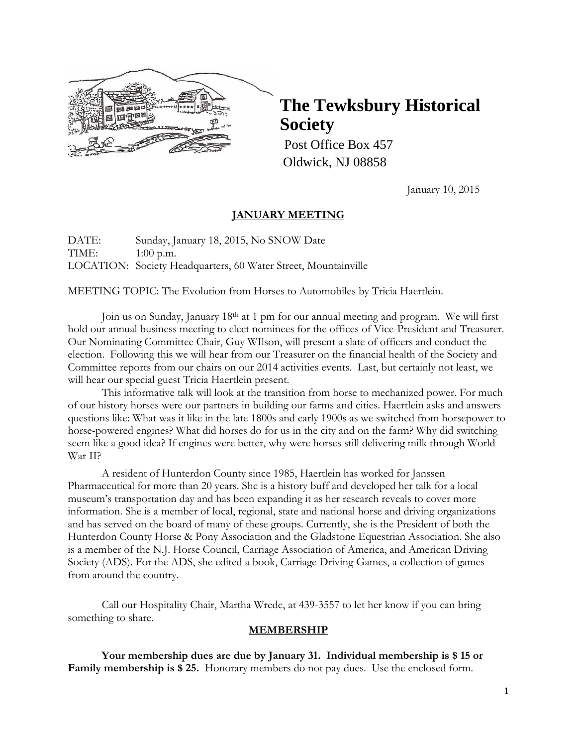

## **The Tewksbury Historical Society**

Post Office Box 457 Oldwick, NJ 08858

January 10, 2015

### **JANUARY MEETING**

DATE: Sunday, January 18, 2015, No SNOW Date TIME: 1:00 p.m. LOCATION: Society Headquarters, 60 Water Street, Mountainville

MEETING TOPIC: The Evolution from Horses to Automobiles by Tricia Haertlein.

Join us on Sunday, January 18<sup>th</sup> at 1 pm for our annual meeting and program. We will first hold our annual business meeting to elect nominees for the offices of Vice-President and Treasurer. Our Nominating Committee Chair, Guy WIlson, will present a slate of officers and conduct the election. Following this we will hear from our Treasurer on the financial health of the Society and Committee reports from our chairs on our 2014 activities events. Last, but certainly not least, we will hear our special guest Tricia Haertlein present.

This informative talk will look at the transition from horse to mechanized power. For much of our history horses were our partners in building our farms and cities. Haertlein asks and answers questions like: What was it like in the late 1800s and early 1900s as we switched from horsepower to horse-powered engines? What did horses do for us in the city and on the farm? Why did switching seem like a good idea? If engines were better, why were horses still delivering milk through World War II?

A resident of Hunterdon County since 1985, Haertlein has worked for Janssen Pharmaceutical for more than 20 years. She is a history buff and developed her talk for a local museum's transportation day and has been expanding it as her research reveals to cover more information. She is a member of local, regional, state and national horse and driving organizations and has served on the board of many of these groups. Currently, she is the President of both the Hunterdon County Horse & Pony Association and the Gladstone Equestrian Association. She also is a member of the N.J. Horse Council, Carriage Association of America, and American Driving Society (ADS). For the ADS, she edited a book, Carriage Driving Games, a collection of games from around the country.

Call our Hospitality Chair, Martha Wrede, at 439-3557 to let her know if you can bring something to share.

#### **MEMBERSHIP**

**Your membership dues are due by January 31. Individual membership is \$ 15 or Family membership is \$ 25.** Honorary members do not pay dues. Use the enclosed form.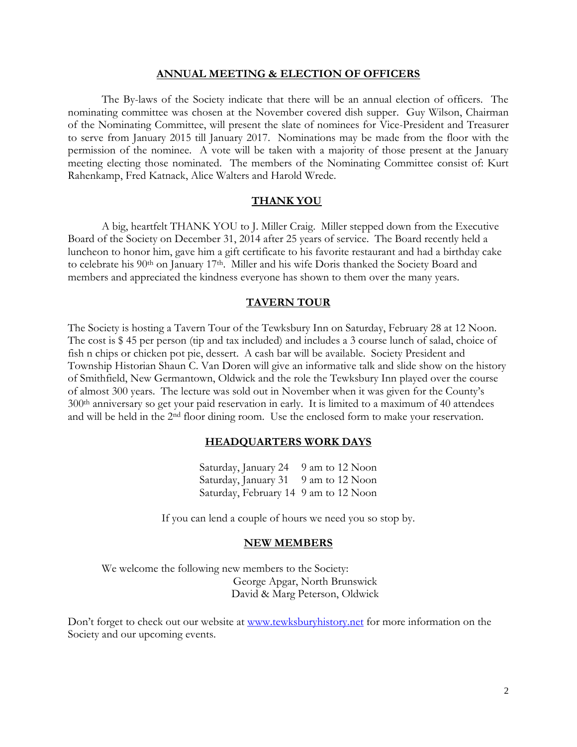#### **ANNUAL MEETING & ELECTION OF OFFICERS**

The By-laws of the Society indicate that there will be an annual election of officers. The nominating committee was chosen at the November covered dish supper. Guy Wilson, Chairman of the Nominating Committee, will present the slate of nominees for Vice-President and Treasurer to serve from January 2015 till January 2017. Nominations may be made from the floor with the permission of the nominee. A vote will be taken with a majority of those present at the January meeting electing those nominated. The members of the Nominating Committee consist of: Kurt Rahenkamp, Fred Katnack, Alice Walters and Harold Wrede.

#### **THANK YOU**

A big, heartfelt THANK YOU to J. Miller Craig. Miller stepped down from the Executive Board of the Society on December 31, 2014 after 25 years of service. The Board recently held a luncheon to honor him, gave him a gift certificate to his favorite restaurant and had a birthday cake to celebrate his 90<sup>th</sup> on January 17<sup>th</sup>. Miller and his wife Doris thanked the Society Board and members and appreciated the kindness everyone has shown to them over the many years.

#### **TAVERN TOUR**

The Society is hosting a Tavern Tour of the Tewksbury Inn on Saturday, February 28 at 12 Noon. The cost is \$ 45 per person (tip and tax included) and includes a 3 course lunch of salad, choice of fish n chips or chicken pot pie, dessert. A cash bar will be available. Society President and Township Historian Shaun C. Van Doren will give an informative talk and slide show on the history of Smithfield, New Germantown, Oldwick and the role the Tewksbury Inn played over the course of almost 300 years. The lecture was sold out in November when it was given for the County's 300th anniversary so get your paid reservation in early. It is limited to a maximum of 40 attendees and will be held in the 2nd floor dining room. Use the enclosed form to make your reservation.

#### **HEADQUARTERS WORK DAYS**

Saturday, January 24 9 am to 12 Noon Saturday, January 31 9 am to 12 Noon Saturday, February 14 9 am to 12 Noon

If you can lend a couple of hours we need you so stop by.

#### **NEW MEMBERS**

We welcome the following new members to the Society: George Apgar, North Brunswick David & Marg Peterson, Oldwick

Don't forget to check out our website at [www.tewksburyhistory.net](http://www.tewksburyhistory.net/) for more information on the Society and our upcoming events.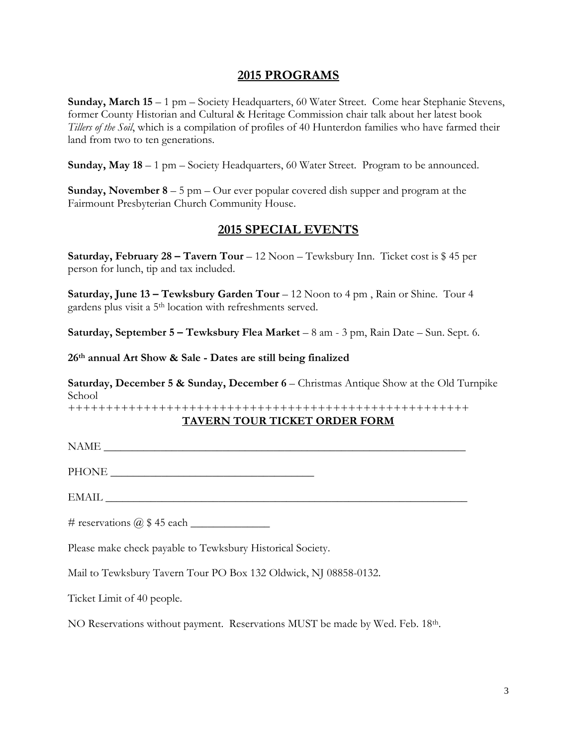## **2015 PROGRAMS**

**Sunday, March 15** – 1 pm – Society Headquarters, 60 Water Street. Come hear Stephanie Stevens, former County Historian and Cultural & Heritage Commission chair talk about her latest book *Tillers of the Soil*, which is a compilation of profiles of 40 Hunterdon families who have farmed their land from two to ten generations.

**Sunday, May 18** – 1 pm – Society Headquarters, 60 Water Street. Program to be announced.

**Sunday, November 8** – 5 pm – Our ever popular covered dish supper and program at the Fairmount Presbyterian Church Community House.

## **2015 SPECIAL EVENTS**

**Saturday, February 28 – Tavern Tour** – 12 Noon – Tewksbury Inn. Ticket cost is \$ 45 per person for lunch, tip and tax included.

**Saturday, June 13 – Tewksbury Garden Tour** – 12 Noon to 4 pm , Rain or Shine. Tour 4 gardens plus visit a 5th location with refreshments served.

**Saturday, September 5 – Tewksbury Flea Market** – 8 am - 3 pm, Rain Date – Sun. Sept. 6.

**26 th annual Art Show & Sale - Dates are still being finalized**

**Saturday, December 5 & Sunday, December 6** – Christmas Antique Show at the Old Turnpike School

+++++++++++++++++++++++++++++++++++++++++++++++++++++

#### **TAVERN TOUR TICKET ORDER FORM**

NAME

PHONE \_\_\_\_\_\_\_\_\_\_\_\_\_\_\_\_\_\_\_\_\_\_\_\_\_\_\_\_\_\_\_\_\_\_\_\_

 $\text{EMAIL} \xrightarrow{\hspace{15mm}} \xrightarrow{\hspace{15mm}} \xrightarrow{\hspace{15mm}} \xrightarrow{\hspace{15mm}} \xrightarrow{\hspace{15mm}} \xrightarrow{\hspace{15mm}} \xrightarrow{\hspace{15mm}} \xrightarrow{\hspace{15mm}} \xrightarrow{\hspace{15mm}} \xrightarrow{\hspace{15mm}} \xrightarrow{\hspace{15mm}} \xrightarrow{\hspace{15mm}} \xrightarrow{\hspace{15mm}} \xrightarrow{\hspace{15mm}} \xrightarrow{\hspace{15mm}} \xrightarrow{\hspace{15mm}} \xrightarrow{\hspace{15mm}} \xrightarrow{\hspace{15mm}} \xrightarrow{\hspace{15mm}} \xrightarrow{\hs$ 

# reservations  $\omega$  \$ 45 each

Please make check payable to Tewksbury Historical Society.

Mail to Tewksbury Tavern Tour PO Box 132 Oldwick, NJ 08858-0132.

Ticket Limit of 40 people.

NO Reservations without payment. Reservations MUST be made by Wed. Feb. 18th.